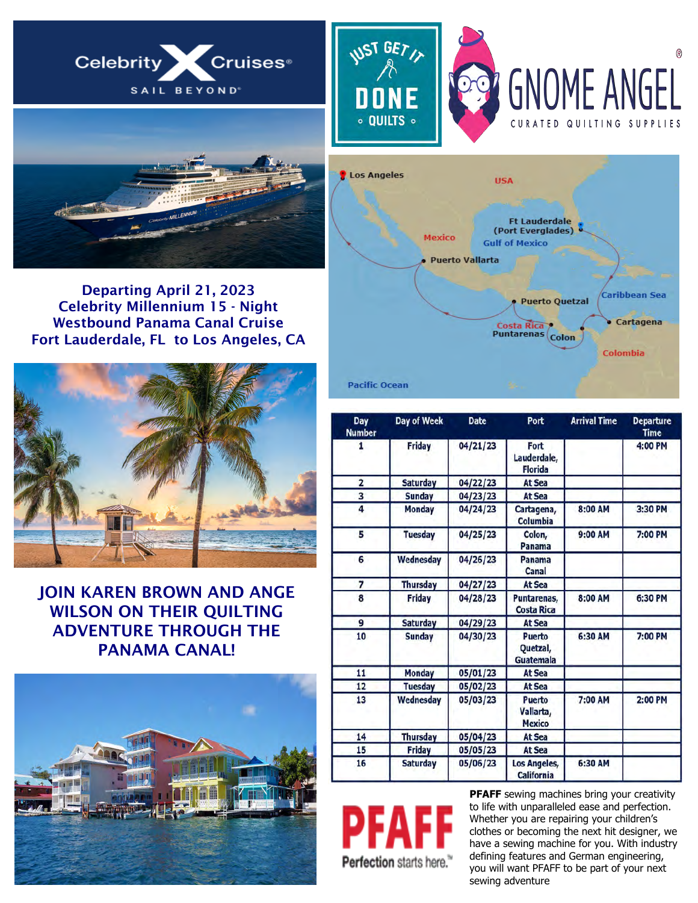







Departing April 21, 2023 Celebrity Millennium 15 - Night Westbound Panama Canal Cruise Fort Lauderdale, FL to Los Angeles, CA



## JOIN KAREN BROWN AND ANGE WILSON ON THEIR QUILTING ADVENTURE THROUGH THE PANAMA CANAL!





| Day<br><b>Number</b>    | Day of Week     | <b>Date</b> | Port                                        | <b>Arrival Time</b> | <b>Departure</b><br><b>Time</b> |
|-------------------------|-----------------|-------------|---------------------------------------------|---------------------|---------------------------------|
| 1                       | <b>Friday</b>   | 04/21/23    | Fort<br>Lauderdale,<br><b>Florida</b>       |                     | 4:00 PM                         |
| $\overline{\mathbf{c}}$ | <b>Saturday</b> | 04/22/23    | At Sea                                      |                     |                                 |
| 3                       | <b>Sunday</b>   | 04/23/23    | At Sea                                      |                     |                                 |
| 4                       | <b>Monday</b>   | 04/24/23    | Cartagena,<br>Columbia                      | 8:00 AM             | 3:30 PM                         |
| 5                       | <b>Tuesday</b>  | 04/25/23    | Colon,<br>Panama                            | 9:00 AM             | 7:00 PM                         |
| 6                       | Wednesday       | 04/26/23    | Panama<br>Canal                             |                     |                                 |
| 7                       | <b>Thursday</b> | 04/27/23    | At Sea                                      |                     |                                 |
| 8                       | Friday          | 04/28/23    | Puntarenas,<br><b>Costa Rica</b>            | 8:00 AM             | 6:30 PM                         |
| 9                       | <b>Saturday</b> | 04/29/23    | At Sea                                      |                     |                                 |
| 10                      | <b>Sunday</b>   | 04/30/23    | Puerto<br>Quetzal,<br>Guatemala             | 6:30 AM             | 7:00 PM                         |
| 11                      | <b>Monday</b>   | 05/01/23    | At Sea                                      |                     |                                 |
| 12                      | <b>Tuesday</b>  | 05/02/23    | At Sea                                      |                     |                                 |
| 13                      | Wednesday       | 05/03/23    | <b>Puerto</b><br>Vallarta,<br><b>Mexico</b> | 7:00 AM             | 2:00 PM                         |
| 14                      | <b>Thursday</b> | 05/04/23    | At Sea                                      |                     |                                 |
| 15                      | Friday          | 05/05/23    | <b>At Sea</b>                               |                     |                                 |
| 16                      | <b>Saturday</b> | 05/06/23    | <b>Los Angeles,</b><br>California           | 6:30 AM             |                                 |

Perfection starts here."

**PFAFF** sewing machines bring your creativity to life with unparalleled ease and perfection. Whether you are repairing your children's clothes or becoming the next hit designer, we have a sewing machine for you. With industry defining features and German engineering, you will want PFAFF to be part of your next sewing adventure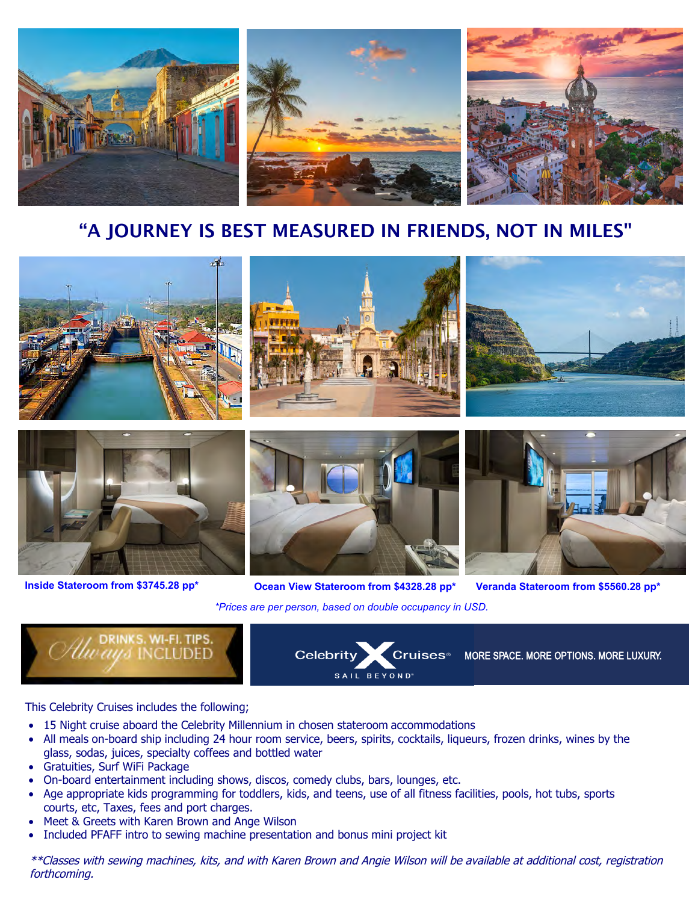

# "A JOURNEY IS BEST MEASURED IN FRIENDS, NOT IN MILES"





**Inside Stateroom from \$3745.28 pp\***



*\*Prices are per person, based on double occupancy in USD.* **Ocean View Stateroom from \$4328.28 pp\* Veranda Stateroom from \$5560.28 pp\***





## This Celebrity Cruises includes the following;

- 15 Night cruise aboard the Celebrity Millennium in chosen stateroom accommodations
- All meals on-board ship including 24 hour room service, beers, spirits, cocktails, liqueurs, frozen drinks, wines by the glass, sodas, juices, specialty coffees and bottled water
- Gratuities, Surf WiFi Package
- On-board entertainment including shows, discos, comedy clubs, bars, lounges, etc.
- Age appropriate kids programming for toddlers, kids, and teens, use of all fitness facilities, pools, hot tubs, sports courts, etc, Taxes, fees and port charges.
- Meet & Greets with Karen Brown and Ange Wilson
- Included PFAFF intro to sewing machine presentation and bonus mini project kit

\*\*Classes with sewing machines, kits, and with Karen Brown and Angie Wilson will be available at additional cost, registration forthcoming.

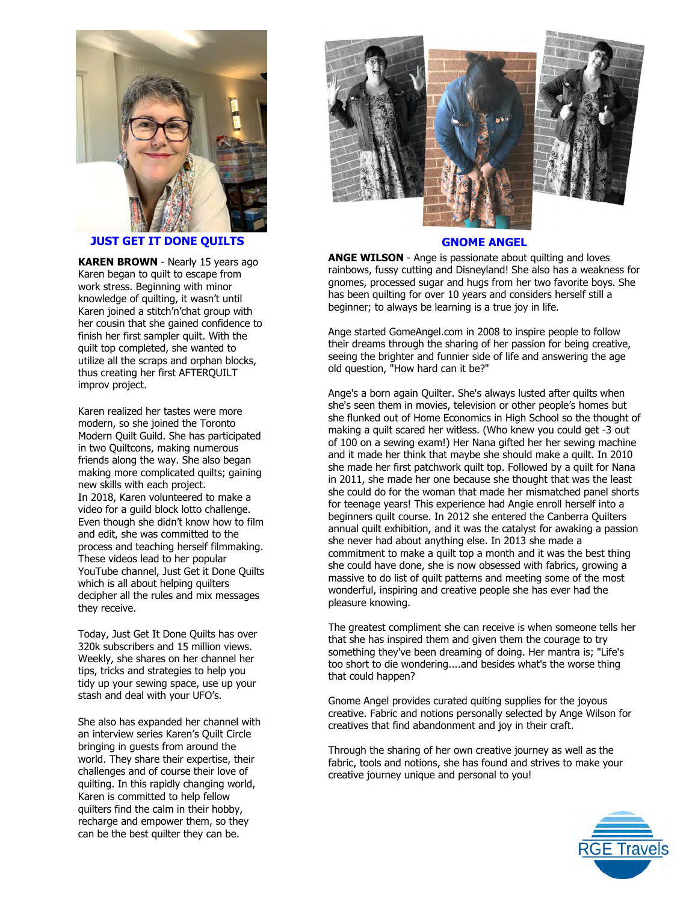

**[JUST GET IT DONE QU](https://www.youtube.com/channel/UCQt_y4kqMQlG1id0n975DVg)ILTS**

**KAREN BROWN** - Nearly 15 years ago Karen began to quilt to escape from work stress. Beginning with minor knowledge of quilting, it wasn't until Karen joined a stitch'n'chat group with her cousin that she gained confidence to finish her first sampler quilt. With the quilt top completed, she wanted to utilize all the scraps and orphan blocks, thus creating her first AFTERQUILT improv project.

Karen realized her tastes were more modern, so she joined the Toronto Modern Quilt Guild. She has participated in two Quiltcons, making numerous friends along the way. She also began making more complicated quilts; gaining new skills with each project. In 2018, Karen volunteered to make a video for a guild block lotto challenge. Even though she didn't know how to film and edit, she was committed to the process and teaching herself filmmaking. These videos lead to her popular YouTube channel, Just Get it Done Quilts which is all about helping quilters decipher all the rules and mix messages they receive.

Today, Just Get It Done Quilts has over 320k subscribers and 15 million views. Weekly, she shares on her channel her tips, tricks and strategies to help you tidy up your sewing space, use up your stash and deal with your UFO's.

She also has expanded her channel with an interview series Karen's Quilt Circle bringing in guests from around the world. They share their expertise, their challenges and of course their love of quilting. In this rapidly changing world, Karen is committed to help fellow quilters find the calm in their hobby, recharge and empower them, so they can be the best quilter they can be.





#### **GN[OME ANGEL](https://www.gnomeangel.com/)**

**ANGE WILSON** - Ange is passionate about quilting and loves rainbows, fussy cutting and Disneyland! She also has a weakness for gnomes, processed sugar and hugs from her two favorite boys. She has been quilting for over 10 years and considers herself still a beginner; to always be learning is a true joy in life.

Ange started GomeAngel.com in 2008 to inspire people to follow their dreams through the sharing of her passion for being creative, seeing the brighter and funnier side of life and answering the age old question, "How hard can it be?"

Ange's a born again Quilter. She's always lusted after quilts when she's seen them in movies, television or other people's homes but she flunked out of Home Economics in High School so the thought of making a quilt scared her witless. (Who knew you could get -3 out of 100 on a sewing exam!) Her Nana gifted her her sewing machine and it made her think that maybe she should make a quilt. In 2010 she made her first patchwork quilt top. Followed by a quilt for Nana in 2011, she made her one because she thought that was the least she could do for the woman that made her mismatched panel shorts for teenage years! This experience had Angie enroll herself into a beginners quilt course. In 2012 she entered the Canberra Quilters annual quilt exhibition, and it was the catalyst for awaking a passion she never had about anything else. In 2013 she made a commitment to make a quilt top a month and it was the best thing she could have done, she is now obsessed with fabrics, growing a massive to do list of quilt patterns and meeting some of the most wonderful, inspiring and creative people she has ever had the pleasure knowing.

too short to die wondering....and besides what's the worse thing that could happen? The greatest compliment she can receive is when someone tells her that she has inspired them and given them the courage to try something they've been dreaming of doing. Her mantra is; "Life's

Gnome Angel provides curated quiting supplies for the joyous creative. Fabric and notions personally selected by Ange Wilson for creatives that find abandonment and joy in their craft.

Through the sharing of her own creative journey as well as the fabric, tools and notions, she has found and strives to make your creative journey unique and personal to you!

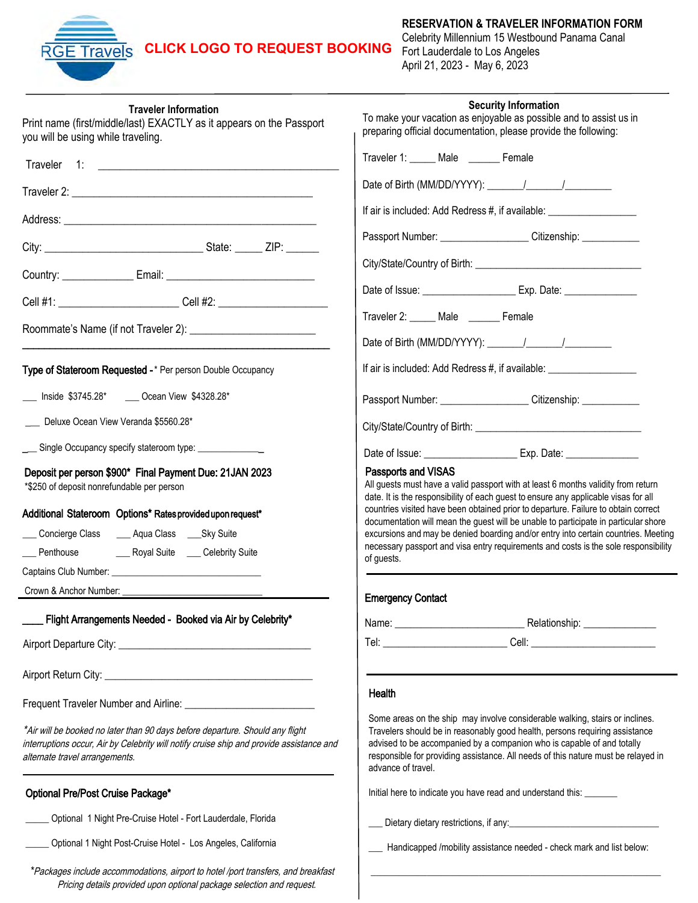## **CLICK LOGO [TO REQUEST BOOKING](www.funseas.com/panama-form)** Fort Lauderdale to Los Angeles

к

## **RESERVATION & TRAVELER INFORMATION FORM**

Celebrity Millennium 15 Westbound Panama Canal April 21, 2023 - May 6, 2023

\_\_\_\_\_\_\_\_\_\_\_\_\_\_\_\_\_\_\_\_\_\_\_\_\_\_\_\_\_\_\_\_\_\_\_\_\_\_\_\_\_\_\_\_\_\_\_\_\_\_\_\_\_\_\_\_\_\_\_\_\_\_

| <b>Traveler Information</b><br>Print name (first/middle/last) EXACTLY as it appears on the Passport<br>you will be using while traveling.                                                                   | <b>Security Information</b><br>To make your vacation as enjoyable as possible and to assist us in<br>preparing official documentation, please provide the following:                                                                                                                                                                             |  |  |
|-------------------------------------------------------------------------------------------------------------------------------------------------------------------------------------------------------------|--------------------------------------------------------------------------------------------------------------------------------------------------------------------------------------------------------------------------------------------------------------------------------------------------------------------------------------------------|--|--|
| Traveler 1: 2008 and 2008 and 2008 and 2008 and 2008 and 2008 and 2008 and 2008 and 2008 and 2008 and 2008 and                                                                                              | Traveler 1: _____ Male ______ Female                                                                                                                                                                                                                                                                                                             |  |  |
|                                                                                                                                                                                                             | Date of Birth (MM/DD/YYYY): \_______/ \________/                                                                                                                                                                                                                                                                                                 |  |  |
|                                                                                                                                                                                                             | If air is included: Add Redress #, if available: _______________________________                                                                                                                                                                                                                                                                 |  |  |
|                                                                                                                                                                                                             | Passport Number: ______________________Citizenship: _____________                                                                                                                                                                                                                                                                                |  |  |
|                                                                                                                                                                                                             |                                                                                                                                                                                                                                                                                                                                                  |  |  |
|                                                                                                                                                                                                             |                                                                                                                                                                                                                                                                                                                                                  |  |  |
|                                                                                                                                                                                                             |                                                                                                                                                                                                                                                                                                                                                  |  |  |
|                                                                                                                                                                                                             | Traveler 2: _____ Male _______ Female                                                                                                                                                                                                                                                                                                            |  |  |
|                                                                                                                                                                                                             |                                                                                                                                                                                                                                                                                                                                                  |  |  |
| Type of Stateroom Requested -* Per person Double Occupancy                                                                                                                                                  | If air is included: Add Redress #, if available: _______________________________                                                                                                                                                                                                                                                                 |  |  |
| ___ Inside \$3745.28* ___ Ocean View \$4328.28*                                                                                                                                                             | Passport Number: _____________________Citizenship: ____________                                                                                                                                                                                                                                                                                  |  |  |
| Deluxe Ocean View Veranda \$5560.28*                                                                                                                                                                        |                                                                                                                                                                                                                                                                                                                                                  |  |  |
| ___ Single Occupancy specify stateroom type: ______________                                                                                                                                                 |                                                                                                                                                                                                                                                                                                                                                  |  |  |
| Deposit per person \$900* Final Payment Due: 21 JAN 2023<br>*\$250 of deposit nonrefundable per person                                                                                                      | Passports and VISAS<br>All guests must have a valid passport with at least 6 months validity from return<br>date. It is the responsibility of each guest to ensure any applicable visas for all                                                                                                                                                  |  |  |
| Additional Stateroom Options* Rates provided upon request*                                                                                                                                                  | countries visited have been obtained prior to departure. Failure to obtain correct<br>documentation will mean the guest will be unable to participate in particular shore                                                                                                                                                                        |  |  |
|                                                                                                                                                                                                             | excursions and may be denied boarding and/or entry into certain countries. Meeting                                                                                                                                                                                                                                                               |  |  |
|                                                                                                                                                                                                             | necessary passport and visa entry requirements and costs is the sole responsibility<br>of guests.                                                                                                                                                                                                                                                |  |  |
|                                                                                                                                                                                                             |                                                                                                                                                                                                                                                                                                                                                  |  |  |
| Crown & Anchor Number:                                                                                                                                                                                      | <b>Emergency Contact</b>                                                                                                                                                                                                                                                                                                                         |  |  |
| Flight Arrangements Needed - Booked via Air by Celebrity*                                                                                                                                                   |                                                                                                                                                                                                                                                                                                                                                  |  |  |
|                                                                                                                                                                                                             |                                                                                                                                                                                                                                                                                                                                                  |  |  |
|                                                                                                                                                                                                             |                                                                                                                                                                                                                                                                                                                                                  |  |  |
|                                                                                                                                                                                                             | Health                                                                                                                                                                                                                                                                                                                                           |  |  |
| *Air will be booked no later than 90 days before departure. Should any flight<br>interruptions occur, Air by Celebrity will notify cruise ship and provide assistance and<br>alternate travel arrangements. | Some areas on the ship may involve considerable walking, stairs or inclines.<br>Travelers should be in reasonably good health, persons requiring assistance<br>advised to be accompanied by a companion who is capable of and totally<br>responsible for providing assistance. All needs of this nature must be relayed in<br>advance of travel. |  |  |
| Optional Pre/Post Cruise Package*                                                                                                                                                                           | Initial here to indicate you have read and understand this: ________                                                                                                                                                                                                                                                                             |  |  |
| Optional 1 Night Pre-Cruise Hotel - Fort Lauderdale, Florida                                                                                                                                                |                                                                                                                                                                                                                                                                                                                                                  |  |  |
| _____ Optional 1 Night Post-Cruise Hotel - Los Angeles, California                                                                                                                                          | Handicapped /mobility assistance needed - check mark and list below:                                                                                                                                                                                                                                                                             |  |  |

\*Packages include accommodations, airport to hotel /port transfers, and breakfast Pricing details provided upon optional package selection and request.